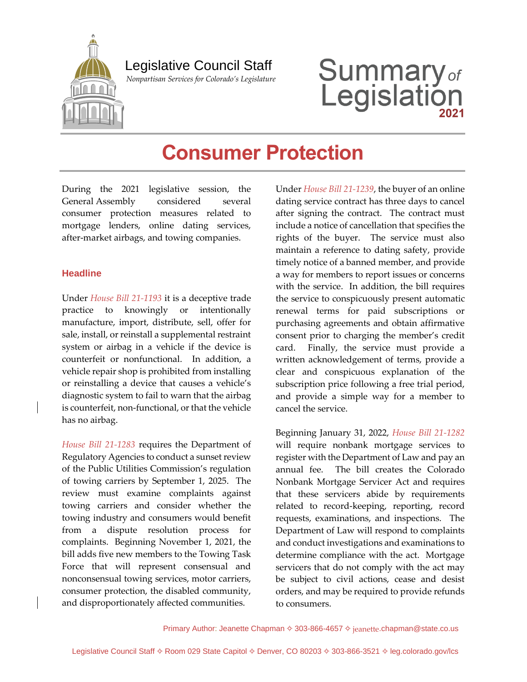

## Legislative Council Staff

 *Nonpartisan Services for Colorado's Legislature*

# **Summary**<sub>of</sub><br>Legislation

# **Consumer Protection**

During the 2021 legislative session, the General Assembly considered several consumer protection measures related to mortgage lenders, online dating services, after-market airbags, and towing companies.

#### **Headline**

Under *[House Bill 21-1193](https://leg.colorado.gov/bills/hb21-1193)* it is a deceptive trade practice to knowingly or intentionally manufacture, import, distribute, sell, offer for sale, install, or reinstall a supplemental restraint system or airbag in a vehicle if the device is counterfeit or nonfunctional. In addition, a vehicle repair shop is prohibited from installing or reinstalling a device that causes a vehicle's diagnostic system to fail to warn that the airbag is counterfeit, non-functional, or that the vehicle has no airbag.

*[House Bill 21-1283](https://leg.colorado.gov/bills/hb21-1283)* requires the Department of Regulatory Agencies to conduct a sunset review of the Public Utilities Commission's regulation of towing carriers by September 1, 2025. The review must examine complaints against towing carriers and consider whether the towing industry and consumers would benefit from a dispute resolution process for complaints. Beginning November 1, 2021, the bill adds five new members to the Towing Task Force that will represent consensual and nonconsensual towing services, motor carriers, consumer protection, the disabled community, and disproportionately affected communities.

Under *[House Bill 21-1239](https://leg.colorado.gov/bills/hb21-1239)*, the buyer of an online dating service contract has three days to cancel after signing the contract. The contract must include a notice of cancellation that specifies the rights of the buyer. The service must also maintain a reference to dating safety, provide timely notice of a banned member, and provide a way for members to report issues or concerns with the service. In addition, the bill requires the service to conspicuously present automatic renewal terms for paid subscriptions or purchasing agreements and obtain affirmative consent prior to charging the member's credit card. Finally, the service must provide a written acknowledgement of terms, provide a clear and conspicuous explanation of the subscription price following a free trial period, and provide a simple way for a member to cancel the service.

Beginning January 31, 2022, *[House Bill 21-1282](https://leg.colorado.gov/bills/hb21-1282)* will require nonbank mortgage services to register with the Department of Law and pay an annual fee. The bill creates the Colorado Nonbank Mortgage Servicer Act and requires that these servicers abide by requirements related to record-keeping, reporting, record requests, examinations, and inspections. The Department of Law will respond to complaints and conduct investigations and examinations to determine compliance with the act. Mortgage servicers that do not comply with the act may be subject to civil actions, cease and desist orders, and may be required to provide refunds to consumers.